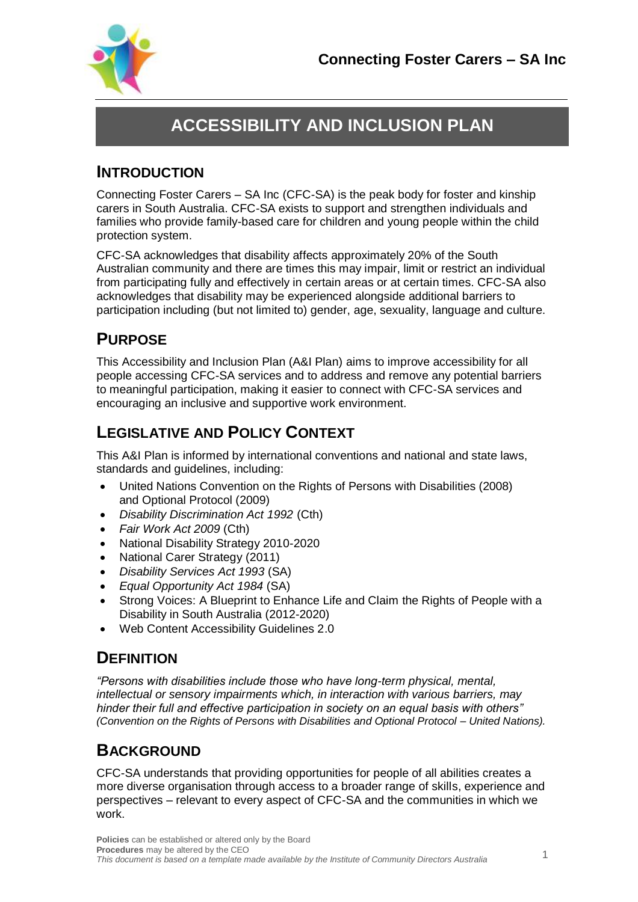

# **ACCESSIBILITY AND INCLUSION PLAN**

### **INTRODUCTION**

Connecting Foster Carers – SA Inc (CFC-SA) is the peak body for foster and kinship carers in South Australia. CFC-SA exists to support and strengthen individuals and families who provide family-based care for children and young people within the child protection system.

CFC-SA acknowledges that disability affects approximately 20% of the South Australian community and there are times this may impair, limit or restrict an individual from participating fully and effectively in certain areas or at certain times. CFC-SA also acknowledges that disability may be experienced alongside additional barriers to participation including (but not limited to) gender, age, sexuality, language and culture.

## **PURPOSE**

This Accessibility and Inclusion Plan (A&I Plan) aims to improve accessibility for all people accessing CFC-SA services and to address and remove any potential barriers to meaningful participation, making it easier to connect with CFC-SA services and encouraging an inclusive and supportive work environment.

## **LEGISLATIVE AND POLICY CONTEXT**

This A&I Plan is informed by international conventions and national and state laws, standards and guidelines, including:

- United Nations Convention on the Rights of Persons with Disabilities (2008) and Optional Protocol (2009)
- *Disability Discrimination Act 1992* (Cth)
- *Fair Work Act 2009* (Cth)
- National Disability Strategy 2010-2020
- National Carer Strategy (2011)
- *Disability Services Act 1993* (SA)
- *Equal Opportunity Act 1984* (SA)
- Strong Voices: A Blueprint to Enhance Life and Claim the Rights of People with a Disability in South Australia (2012-2020)
- Web Content Accessibility Guidelines 2.0

### **DEFINITION**

*"Persons with disabilities include those who have long-term physical, mental, intellectual or sensory impairments which, in interaction with various barriers, may hinder their full and effective participation in society on an equal basis with others" (Convention on the Rights of Persons with Disabilities and Optional Protocol – United Nations).*

## **BACKGROUND**

CFC-SA understands that providing opportunities for people of all abilities creates a more diverse organisation through access to a broader range of skills, experience and perspectives – relevant to every aspect of CFC-SA and the communities in which we work.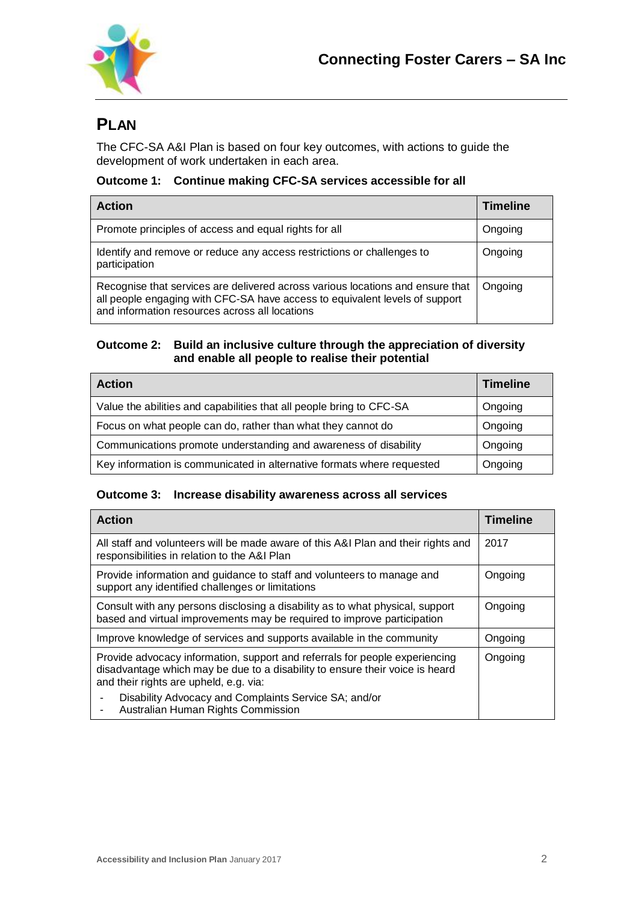

## **PLAN**

The CFC-SA A&I Plan is based on four key outcomes, with actions to guide the development of work undertaken in each area.

#### **Outcome 1: Continue making CFC-SA services accessible for all**

| <b>Action</b>                                                                                                                                                                                                   | <b>Timeline</b> |
|-----------------------------------------------------------------------------------------------------------------------------------------------------------------------------------------------------------------|-----------------|
| Promote principles of access and equal rights for all                                                                                                                                                           | Ongoing         |
| Identify and remove or reduce any access restrictions or challenges to<br>participation                                                                                                                         | Ongoing         |
| Recognise that services are delivered across various locations and ensure that<br>all people engaging with CFC-SA have access to equivalent levels of support<br>and information resources across all locations | Ongoing         |

#### **Outcome 2: Build an inclusive culture through the appreciation of diversity and enable all people to realise their potential**

| <b>Action</b>                                                          | <b>Timeline</b> |
|------------------------------------------------------------------------|-----------------|
| Value the abilities and capabilities that all people bring to CFC-SA   | Ongoing         |
| Focus on what people can do, rather than what they cannot do           | Ongoing         |
| Communications promote understanding and awareness of disability       | Ongoing         |
| Key information is communicated in alternative formats where requested | Ongoing         |

#### **Outcome 3: Increase disability awareness across all services**

| <b>Action</b>                                                                                                                                                                                         | <b>Timeline</b> |
|-------------------------------------------------------------------------------------------------------------------------------------------------------------------------------------------------------|-----------------|
| All staff and volunteers will be made aware of this A&I Plan and their rights and<br>responsibilities in relation to the A&I Plan                                                                     | 2017            |
| Provide information and guidance to staff and volunteers to manage and<br>support any identified challenges or limitations                                                                            | Ongoing         |
| Consult with any persons disclosing a disability as to what physical, support<br>based and virtual improvements may be required to improve participation                                              | Ongoing         |
| Improve knowledge of services and supports available in the community                                                                                                                                 | Ongoing         |
| Provide advocacy information, support and referrals for people experiencing<br>disadvantage which may be due to a disability to ensure their voice is heard<br>and their rights are upheld, e.g. via: | Ongoing         |
| Disability Advocacy and Complaints Service SA; and/or<br>Australian Human Rights Commission                                                                                                           |                 |